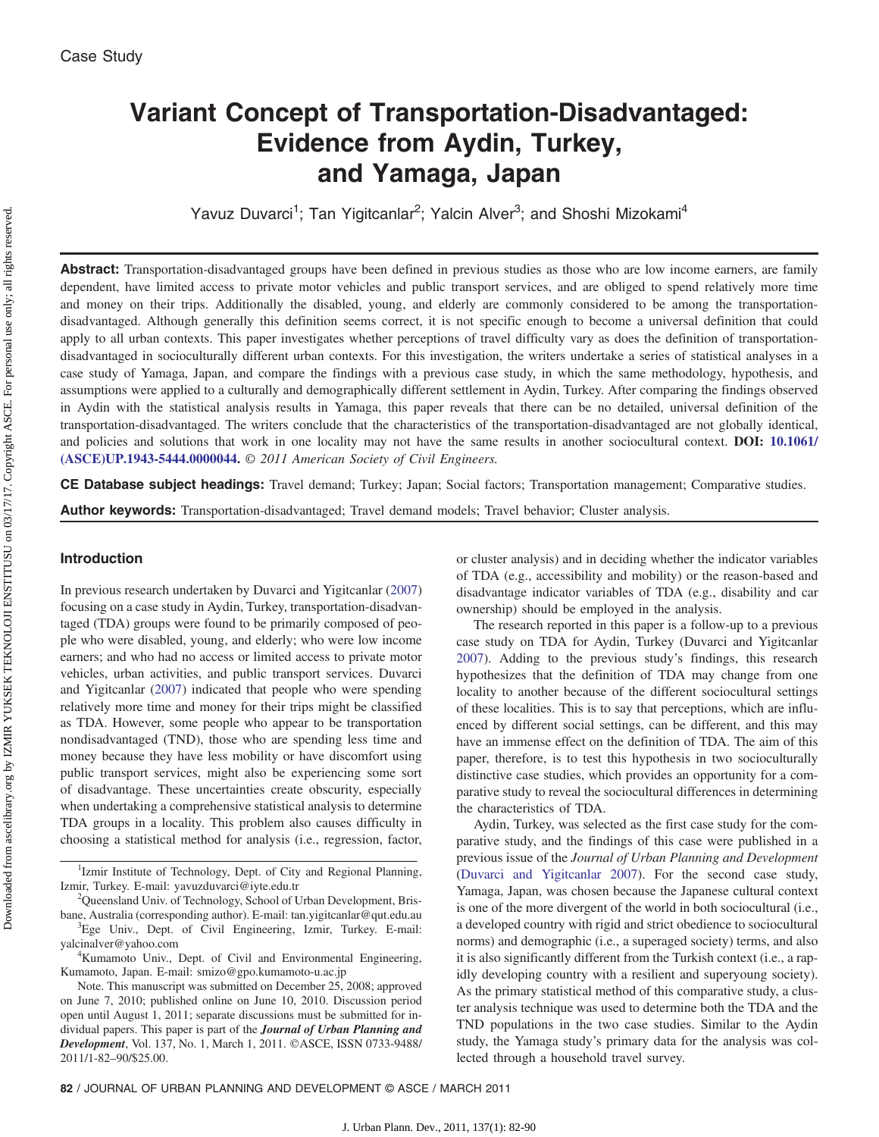# Variant Concept of Transportation-Disadvantaged: Evidence from Aydin, Turkey, and Yamaga, Japan

Yavuz Duvarci<sup>1</sup>; Tan Yigitcanlar<sup>2</sup>; Yalcin Alver<sup>3</sup>; and Shoshi Mizokami<sup>4</sup>

Abstract: Transportation-disadvantaged groups have been defined in previous studies as those who are low income earners, are family dependent, have limited access to private motor vehicles and public transport services, and are obliged to spend relatively more time and money on their trips. Additionally the disabled, young, and elderly are commonly considered to be among the transportationdisadvantaged. Although generally this definition seems correct, it is not specific enough to become a universal definition that could apply to all urban contexts. This paper investigates whether perceptions of travel difficulty vary as does the definition of transportationdisadvantaged in socioculturally different urban contexts. For this investigation, the writers undertake a series of statistical analyses in a case study of Yamaga, Japan, and compare the findings with a previous case study, in which the same methodology, hypothesis, and assumptions were applied to a culturally and demographically different settlement in Aydin, Turkey. After comparing the findings observed in Aydin with the statistical analysis results in Yamaga, this paper reveals that there can be no detailed, universal definition of the transportation-disadvantaged. The writers conclude that the characteristics of the transportation-disadvantaged are not globally identical, and policies and solutions that work in one locality may not have the same results in another sociocultural context. DOI: [10.1061/](http://dx.doi.org/10.1061/(ASCE)UP.1943-5444.0000044) [\(ASCE\)UP.1943-5444.0000044](http://dx.doi.org/10.1061/(ASCE)UP.1943-5444.0000044). © 2011 American Society of Civil Engineers.

CE Database subject headings: Travel demand; Turkey; Japan; Social factors; Transportation management; Comparative studies.

Author keywords: Transportation-disadvantaged; Travel demand models; Travel behavior; Cluster analysis.

### Introduction

In previous research undertaken by Duvarci and Yigitcanlar ([2007\)](#page-8-0) focusing on a case study in Aydin, Turkey, transportation-disadvantaged (TDA) groups were found to be primarily composed of people who were disabled, young, and elderly; who were low income earners; and who had no access or limited access to private motor vehicles, urban activities, and public transport services. Duvarci and Yigitcanlar ([2007\)](#page-8-0) indicated that people who were spending relatively more time and money for their trips might be classified as TDA. However, some people who appear to be transportation nondisadvantaged (TND), those who are spending less time and money because they have less mobility or have discomfort using public transport services, might also be experiencing some sort of disadvantage. These uncertainties create obscurity, especially when undertaking a comprehensive statistical analysis to determine TDA groups in a locality. This problem also causes difficulty in choosing a statistical method for analysis (i.e., regression, factor,

<sup>2</sup>Queensland Univ. of Technology, School of Urban Development, Brisbane, Australia (corresponding author). E-mail: tan.yigitcanlar@qut.edu.au <sup>3</sup>

<sup>3</sup>Ege Univ., Dept. of Civil Engineering, Izmir, Turkey. E-mail: yalcinalver@yahoo.com <sup>4</sup>

Kumamoto Univ., Dept. of Civil and Environmental Engineering, Kumamoto, Japan. E-mail: smizo@gpo.kumamoto-u.ac.jp

Note. This manuscript was submitted on December 25, 2008; approved on June 7, 2010; published online on June 10, 2010. Discussion period open until August 1, 2011; separate discussions must be submitted for individual papers. This paper is part of the **Journal of Urban Planning and** Development, Vol. 137, No. 1, March 1, 2011. ©ASCE, ISSN 0733-9488/ 2011/1-82–90/\$25.00.

or cluster analysis) and in deciding whether the indicator variables of TDA (e.g., accessibility and mobility) or the reason-based and disadvantage indicator variables of TDA (e.g., disability and car ownership) should be employed in the analysis.

The research reported in this paper is a follow-up to a previous case study on TDA for Aydin, Turkey (Duvarci and Yigitcanlar [2007](#page-8-0)). Adding to the previous study's findings, this research hypothesizes that the definition of TDA may change from one locality to another because of the different sociocultural settings of these localities. This is to say that perceptions, which are influenced by different social settings, can be different, and this may have an immense effect on the definition of TDA. The aim of this paper, therefore, is to test this hypothesis in two socioculturally distinctive case studies, which provides an opportunity for a comparative study to reveal the sociocultural differences in determining the characteristics of TDA.

Aydin, Turkey, was selected as the first case study for the comparative study, and the findings of this case were published in a previous issue of the Journal of Urban Planning and Development [\(Duvarci and Yigitcanlar 2007](#page-8-0)). For the second case study, Yamaga, Japan, was chosen because the Japanese cultural context is one of the more divergent of the world in both sociocultural (i.e., a developed country with rigid and strict obedience to sociocultural norms) and demographic (i.e., a superaged society) terms, and also it is also significantly different from the Turkish context (i.e., a rapidly developing country with a resilient and superyoung society). As the primary statistical method of this comparative study, a cluster analysis technique was used to determine both the TDA and the TND populations in the two case studies. Similar to the Aydin study, the Yamaga study's primary data for the analysis was collected through a household travel survey.

<sup>&</sup>lt;sup>1</sup>Izmir Institute of Technology, Dept. of City and Regional Planning, Izmir, Turkey. E-mail: yavuzduvarci@iyte.edu.tr <sup>2</sup>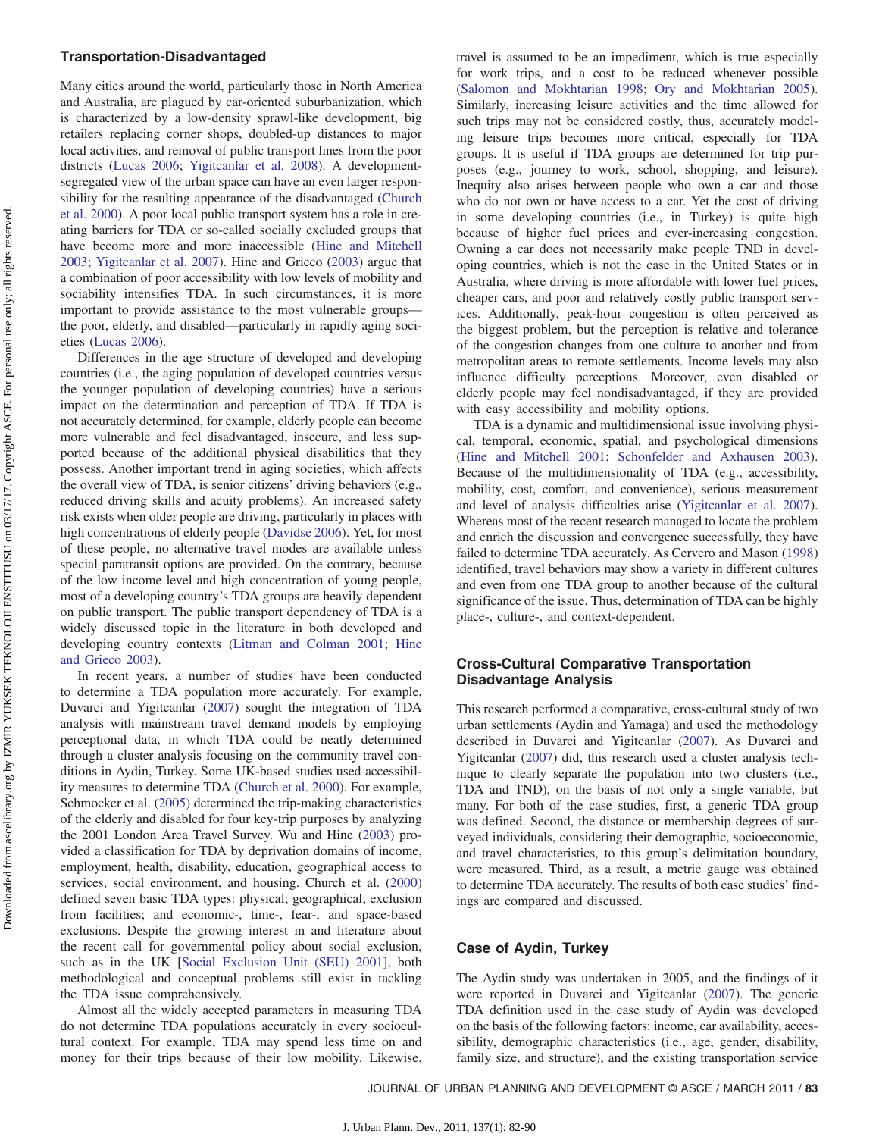#### Transportation-Disadvantaged

Many cities around the world, particularly those in North America and Australia, are plagued by car-oriented suburbanization, which is characterized by a low-density sprawl-like development, big retailers replacing corner shops, doubled-up distances to major local activities, and removal of public transport lines from the poor districts [\(Lucas 2006;](#page-8-1) [Yigitcanlar et al. 2008](#page-8-2)). A developmentsegregated view of the urban space can have an even larger responsibility for the resulting appearance of the disadvantaged [\(Church](#page-8-3) [et al. 2000\)](#page-8-3). A poor local public transport system has a role in creating barriers for TDA or so-called socially excluded groups that have become more and more inaccessible [\(Hine and Mitchell](#page-8-4) [2003](#page-8-4); [Yigitcanlar et al. 2007\)](#page-8-5). Hine and Grieco ([2003\)](#page-8-6) argue that a combination of poor accessibility with low levels of mobility and sociability intensifies TDA. In such circumstances, it is more important to provide assistance to the most vulnerable groups the poor, elderly, and disabled—particularly in rapidly aging societies ([Lucas 2006](#page-8-1)).

Differences in the age structure of developed and developing countries (i.e., the aging population of developed countries versus the younger population of developing countries) have a serious impact on the determination and perception of TDA. If TDA is not accurately determined, for example, elderly people can become more vulnerable and feel disadvantaged, insecure, and less supported because of the additional physical disabilities that they possess. Another important trend in aging societies, which affects the overall view of TDA, is senior citizens' driving behaviors (e.g., reduced driving skills and acuity problems). An increased safety risk exists when older people are driving, particularly in places with high concentrations of elderly people [\(Davidse 2006](#page-8-7)). Yet, for most of these people, no alternative travel modes are available unless special paratransit options are provided. On the contrary, because of the low income level and high concentration of young people, most of a developing country's TDA groups are heavily dependent on public transport. The public transport dependency of TDA is a widely discussed topic in the literature in both developed and developing country contexts ([Litman and Colman 2001;](#page-8-8) [Hine](#page-8-6) [and Grieco 2003\)](#page-8-6).

In recent years, a number of studies have been conducted to determine a TDA population more accurately. For example, Duvarci and Yigitcanlar ([2007\)](#page-8-0) sought the integration of TDA analysis with mainstream travel demand models by employing perceptional data, in which TDA could be neatly determined through a cluster analysis focusing on the community travel conditions in Aydin, Turkey. Some UK-based studies used accessibility measures to determine TDA [\(Church et al. 2000](#page-8-3)). For example, Schmocker et al. ([2005\)](#page-8-9) determined the trip-making characteristics of the elderly and disabled for four key-trip purposes by analyzing the 2001 London Area Travel Survey. Wu and Hine ([2003\)](#page-8-10) provided a classification for TDA by deprivation domains of income, employment, health, disability, education, geographical access to services, social environment, and housing. Church et al. ([2000\)](#page-8-3) defined seven basic TDA types: physical; geographical; exclusion from facilities; and economic-, time-, fear-, and space-based exclusions. Despite the growing interest in and literature about the recent call for governmental policy about social exclusion, such as in the UK [[Social Exclusion Unit \(SEU\) 2001\]](#page-8-11), both methodological and conceptual problems still exist in tackling the TDA issue comprehensively.

Almost all the widely accepted parameters in measuring TDA do not determine TDA populations accurately in every sociocultural context. For example, TDA may spend less time on and money for their trips because of their low mobility. Likewise, travel is assumed to be an impediment, which is true especially for work trips, and a cost to be reduced whenever possible [\(Salomon and Mokhtarian 1998](#page-8-12); [Ory and Mokhtarian 2005\)](#page-8-13). Similarly, increasing leisure activities and the time allowed for such trips may not be considered costly, thus, accurately modeling leisure trips becomes more critical, especially for TDA groups. It is useful if TDA groups are determined for trip purposes (e.g., journey to work, school, shopping, and leisure). Inequity also arises between people who own a car and those who do not own or have access to a car. Yet the cost of driving in some developing countries (i.e., in Turkey) is quite high because of higher fuel prices and ever-increasing congestion. Owning a car does not necessarily make people TND in developing countries, which is not the case in the United States or in Australia, where driving is more affordable with lower fuel prices, cheaper cars, and poor and relatively costly public transport services. Additionally, peak-hour congestion is often perceived as the biggest problem, but the perception is relative and tolerance of the congestion changes from one culture to another and from metropolitan areas to remote settlements. Income levels may also influence difficulty perceptions. Moreover, even disabled or elderly people may feel nondisadvantaged, if they are provided with easy accessibility and mobility options.

TDA is a dynamic and multidimensional issue involving physical, temporal, economic, spatial, and psychological dimensions [\(Hine and Mitchell 2001;](#page-8-14) [Schonfelder and Axhausen 2003\)](#page-8-15). Because of the multidimensionality of TDA (e.g., accessibility, mobility, cost, comfort, and convenience), serious measurement and level of analysis difficulties arise ([Yigitcanlar et al. 2007\)](#page-8-5). Whereas most of the recent research managed to locate the problem and enrich the discussion and convergence successfully, they have failed to determine TDA accurately. As Cervero and Mason ([1998\)](#page-8-16) identified, travel behaviors may show a variety in different cultures and even from one TDA group to another because of the cultural significance of the issue. Thus, determination of TDA can be highly place-, culture-, and context-dependent.

# Cross-Cultural Comparative Transportation Disadvantage Analysis

This research performed a comparative, cross-cultural study of two urban settlements (Aydin and Yamaga) and used the methodology described in Duvarci and Yigitcanlar ([2007\)](#page-8-0). As Duvarci and Yigitcanlar [\(2007](#page-8-0)) did, this research used a cluster analysis technique to clearly separate the population into two clusters (i.e., TDA and TND), on the basis of not only a single variable, but many. For both of the case studies, first, a generic TDA group was defined. Second, the distance or membership degrees of surveyed individuals, considering their demographic, socioeconomic, and travel characteristics, to this group's delimitation boundary, were measured. Third, as a result, a metric gauge was obtained to determine TDA accurately. The results of both case studies' findings are compared and discussed.

# Case of Aydin, Turkey

The Aydin study was undertaken in 2005, and the findings of it were reported in Duvarci and Yigitcanlar [\(2007](#page-8-0)). The generic TDA definition used in the case study of Aydin was developed on the basis of the following factors: income, car availability, accessibility, demographic characteristics (i.e., age, gender, disability, family size, and structure), and the existing transportation service

JOURNAL OF URBAN PLANNING AND DEVELOPMENT © ASCE / MARCH 2011 / 83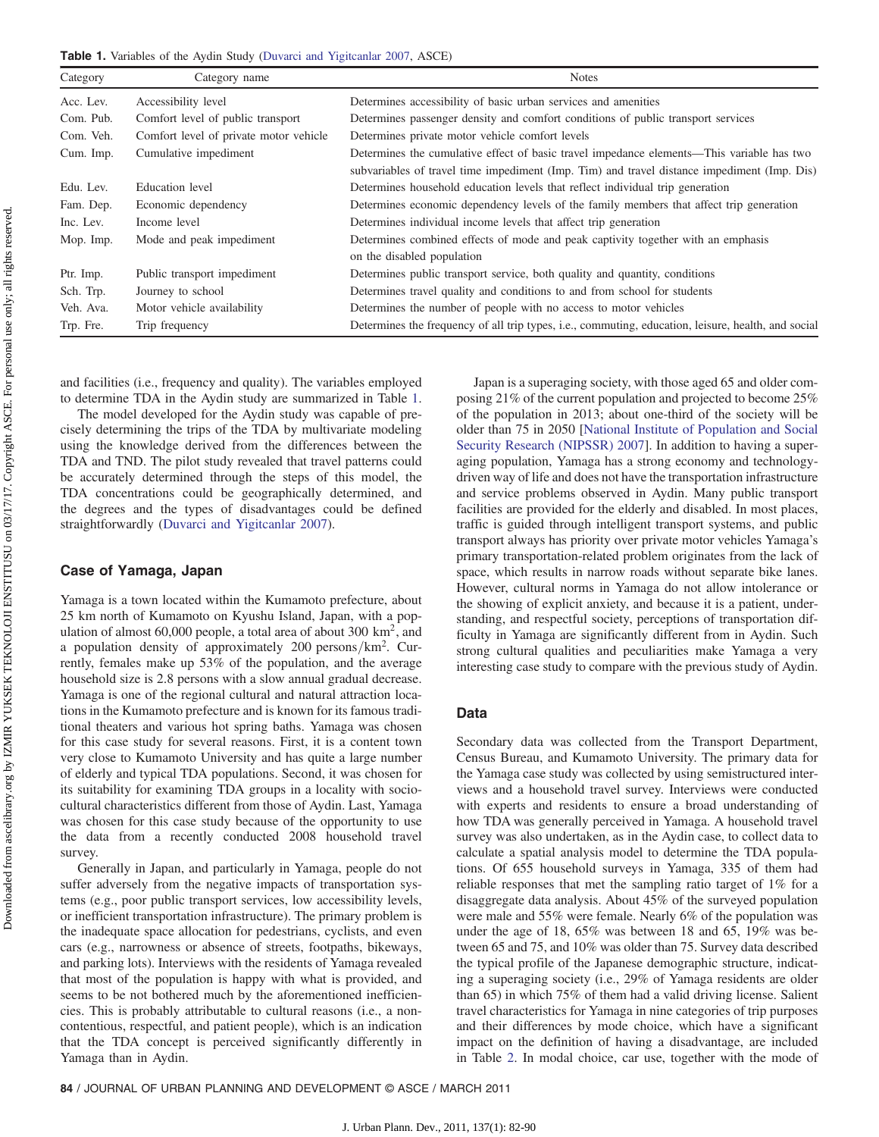<span id="page-2-0"></span>Table 1. Variables of the Aydin Study [\(Duvarci and Yigitcanlar 2007,](#page-8-0) ASCE)

| Category  | Category name                          | <b>Notes</b>                                                                                        |
|-----------|----------------------------------------|-----------------------------------------------------------------------------------------------------|
| Acc. Lev. | Accessibility level                    | Determines accessibility of basic urban services and amenities                                      |
| Com. Pub. | Comfort level of public transport      | Determines passenger density and comfort conditions of public transport services                    |
| Com. Veh. | Comfort level of private motor vehicle | Determines private motor vehicle comfort levels                                                     |
| Cum. Imp. | Cumulative impediment                  | Determines the cumulative effect of basic travel impedance elements—This variable has two           |
|           |                                        | subvariables of travel time impediment (Imp. Tim) and travel distance impediment (Imp. Dis)         |
| Edu. Lev. | Education level                        | Determines household education levels that reflect individual trip generation                       |
| Fam. Dep. | Economic dependency                    | Determines economic dependency levels of the family members that affect trip generation             |
| Inc. Lev. | Income level                           | Determines individual income levels that affect trip generation                                     |
| Mop. Imp. | Mode and peak impediment               | Determines combined effects of mode and peak captivity together with an emphasis                    |
|           |                                        | on the disabled population                                                                          |
| Ptr. Imp. | Public transport impediment            | Determines public transport service, both quality and quantity, conditions                          |
| Sch. Trp. | Journey to school                      | Determines travel quality and conditions to and from school for students                            |
| Veh. Ava. | Motor vehicle availability             | Determines the number of people with no access to motor vehicles                                    |
| Trp. Fre. | Trip frequency                         | Determines the frequency of all trip types, i.e., commuting, education, leisure, health, and social |

and facilities (i.e., frequency and quality). The variables employed to determine TDA in the Aydin study are summarized in Table [1.](#page-2-0)

The model developed for the Aydin study was capable of precisely determining the trips of the TDA by multivariate modeling using the knowledge derived from the differences between the TDA and TND. The pilot study revealed that travel patterns could be accurately determined through the steps of this model, the TDA concentrations could be geographically determined, and the degrees and the types of disadvantages could be defined straightforwardly ([Duvarci and Yigitcanlar 2007](#page-8-0)).

#### Case of Yamaga, Japan

Yamaga is a town located within the Kumamoto prefecture, about 25 km north of Kumamoto on Kyushu Island, Japan, with a population of almost  $60,000$  people, a total area of about  $300 \text{ km}^2$ , and a population density of approximately 200 persons/ $km^2$ . Currently, females make up 53% of the population, and the average household size is 2.8 persons with a slow annual gradual decrease. Yamaga is one of the regional cultural and natural attraction locations in the Kumamoto prefecture and is known for its famous traditional theaters and various hot spring baths. Yamaga was chosen for this case study for several reasons. First, it is a content town very close to Kumamoto University and has quite a large number of elderly and typical TDA populations. Second, it was chosen for its suitability for examining TDA groups in a locality with sociocultural characteristics different from those of Aydin. Last, Yamaga was chosen for this case study because of the opportunity to use the data from a recently conducted 2008 household travel survey.

Generally in Japan, and particularly in Yamaga, people do not suffer adversely from the negative impacts of transportation systems (e.g., poor public transport services, low accessibility levels, or inefficient transportation infrastructure). The primary problem is the inadequate space allocation for pedestrians, cyclists, and even cars (e.g., narrowness or absence of streets, footpaths, bikeways, and parking lots). Interviews with the residents of Yamaga revealed that most of the population is happy with what is provided, and seems to be not bothered much by the aforementioned inefficiencies. This is probably attributable to cultural reasons (i.e., a noncontentious, respectful, and patient people), which is an indication that the TDA concept is perceived significantly differently in Yamaga than in Aydin.

Japan is a superaging society, with those aged 65 and older composing 21% of the current population and projected to become 25% of the population in 2013; about one-third of the society will be older than 75 in 2050 [[National Institute of Population and Social](#page-8-17) [Security Research \(NIPSSR\) 2007](#page-8-17)]. In addition to having a superaging population, Yamaga has a strong economy and technologydriven way of life and does not have the transportation infrastructure and service problems observed in Aydin. Many public transport facilities are provided for the elderly and disabled. In most places, traffic is guided through intelligent transport systems, and public transport always has priority over private motor vehicles Yamaga's primary transportation-related problem originates from the lack of space, which results in narrow roads without separate bike lanes. However, cultural norms in Yamaga do not allow intolerance or the showing of explicit anxiety, and because it is a patient, understanding, and respectful society, perceptions of transportation difficulty in Yamaga are significantly different from in Aydin. Such strong cultural qualities and peculiarities make Yamaga a very interesting case study to compare with the previous study of Aydin.

## Data

Secondary data was collected from the Transport Department, Census Bureau, and Kumamoto University. The primary data for the Yamaga case study was collected by using semistructured interviews and a household travel survey. Interviews were conducted with experts and residents to ensure a broad understanding of how TDA was generally perceived in Yamaga. A household travel survey was also undertaken, as in the Aydin case, to collect data to calculate a spatial analysis model to determine the TDA populations. Of 655 household surveys in Yamaga, 335 of them had reliable responses that met the sampling ratio target of 1% for a disaggregate data analysis. About 45% of the surveyed population were male and 55% were female. Nearly 6% of the population was under the age of 18, 65% was between 18 and 65, 19% was between 65 and 75, and 10% was older than 75. Survey data described the typical profile of the Japanese demographic structure, indicating a superaging society (i.e., 29% of Yamaga residents are older than 65) in which 75% of them had a valid driving license. Salient travel characteristics for Yamaga in nine categories of trip purposes and their differences by mode choice, which have a significant impact on the definition of having a disadvantage, are included in Table [2](#page-3-0). In modal choice, car use, together with the mode of

84 / JOURNAL OF URBAN PLANNING AND DEVELOPMENT © ASCE / MARCH 2011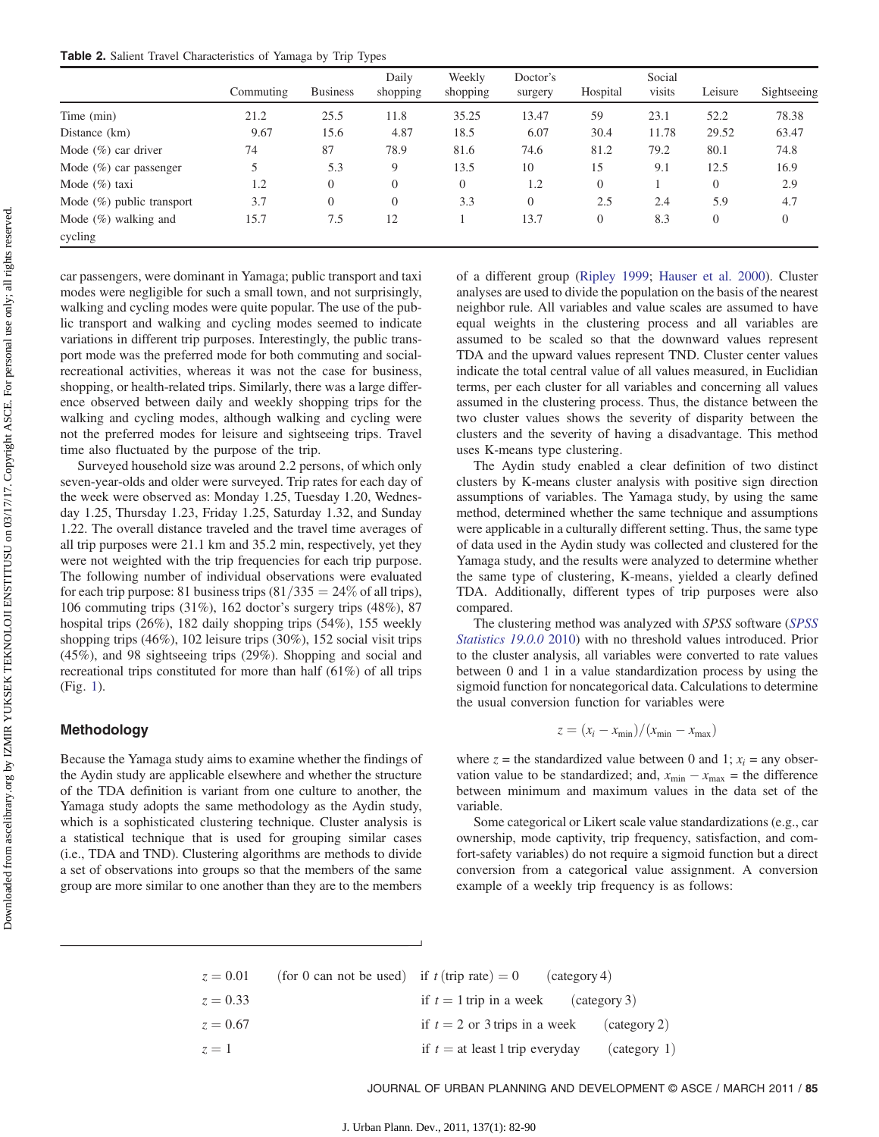<span id="page-3-0"></span>

|  | Table 2. Salient Travel Characteristics of Yamaga by Trip Types |  |  |  |
|--|-----------------------------------------------------------------|--|--|--|
|  |                                                                 |  |  |  |

|                              | Commuting | <b>Business</b> | Daily<br>shopping | Weekly<br>shopping | Doctor's<br>surgery | Hospital | Social<br>visits | Leisure      | Sightseeing    |
|------------------------------|-----------|-----------------|-------------------|--------------------|---------------------|----------|------------------|--------------|----------------|
| Time (min)                   | 21.2      | 25.5            | 11.8              | 35.25              | 13.47               | 59       | 23.1             | 52.2         | 78.38          |
| Distance (km)                | 9.67      | 15.6            | 4.87              | 18.5               | 6.07                | 30.4     | 11.78            | 29.52        | 63.47          |
| Mode (%) car driver          | 74        | 87              | 78.9              | 81.6               | 74.6                | 81.2     | 79.2             | 80.1         | 74.8           |
| Mode $(\%)$ car passenger    |           | 5.3             | 9                 | 13.5               | 10                  | 15       | 9.1              | 12.5         | 16.9           |
| Mode (%) taxi                | 1.2       | $\theta$        | $\overline{0}$    | $\mathbf{0}$       | 1.2                 | $\Omega$ |                  | $\mathbf{0}$ | 2.9            |
| Mode $(\%)$ public transport | 3.7       | $\theta$        | $\theta$          | 3.3                | $\overline{0}$      | 2.5      | 2.4              | 5.9          | 4.7            |
| Mode $(\%)$ walking and      | 15.7      | 7.5             | 12                |                    | 13.7                | $\theta$ | 8.3              | $\mathbf{0}$ | $\overline{0}$ |
| cycling                      |           |                 |                   |                    |                     |          |                  |              |                |

car passengers, were dominant in Yamaga; public transport and taxi modes were negligible for such a small town, and not surprisingly, walking and cycling modes were quite popular. The use of the public transport and walking and cycling modes seemed to indicate variations in different trip purposes. Interestingly, the public transport mode was the preferred mode for both commuting and socialrecreational activities, whereas it was not the case for business, shopping, or health-related trips. Similarly, there was a large difference observed between daily and weekly shopping trips for the walking and cycling modes, although walking and cycling were not the preferred modes for leisure and sightseeing trips. Travel time also fluctuated by the purpose of the trip.

Surveyed household size was around 2.2 persons, of which only seven-year-olds and older were surveyed. Trip rates for each day of the week were observed as: Monday 1.25, Tuesday 1.20, Wednesday 1.25, Thursday 1.23, Friday 1.25, Saturday 1.32, and Sunday 1.22. The overall distance traveled and the travel time averages of all trip purposes were 21.1 km and 35.2 min, respectively, yet they were not weighted with the trip frequencies for each trip purpose. The following number of individual observations were evaluated for each trip purpose: 81 business trips  $(81/335 = 24\%$  of all trips), 106 commuting trips (31%), 162 doctor's surgery trips (48%), 87 hospital trips (26%), 182 daily shopping trips (54%), 155 weekly shopping trips (46%), 102 leisure trips (30%), 152 social visit trips (45%), and 98 sightseeing trips (29%). Shopping and social and recreational trips constituted for more than half (61%) of all trips (Fig. [1](#page-4-0)).

### Methodology

Because the Yamaga study aims to examine whether the findings of the Aydin study are applicable elsewhere and whether the structure of the TDA definition is variant from one culture to another, the Yamaga study adopts the same methodology as the Aydin study, which is a sophisticated clustering technique. Cluster analysis is a statistical technique that is used for grouping similar cases (i.e., TDA and TND). Clustering algorithms are methods to divide a set of observations into groups so that the members of the same group are more similar to one another than they are to the members of a different group ([Ripley 1999](#page-8-18); [Hauser et al. 2000](#page-8-19)). Cluster analyses are used to divide the population on the basis of the nearest neighbor rule. All variables and value scales are assumed to have equal weights in the clustering process and all variables are assumed to be scaled so that the downward values represent TDA and the upward values represent TND. Cluster center values indicate the total central value of all values measured, in Euclidian terms, per each cluster for all variables and concerning all values assumed in the clustering process. Thus, the distance between the two cluster values shows the severity of disparity between the clusters and the severity of having a disadvantage. This method uses K-means type clustering.

The Aydin study enabled a clear definition of two distinct clusters by K-means cluster analysis with positive sign direction assumptions of variables. The Yamaga study, by using the same method, determined whether the same technique and assumptions were applicable in a culturally different setting. Thus, the same type of data used in the Aydin study was collected and clustered for the Yamaga study, and the results were analyzed to determine whether the same type of clustering, K-means, yielded a clearly defined TDA. Additionally, different types of trip purposes were also compared.

The clustering method was analyzed with SPSS software ([SPSS](#page-8-20) [Statistics 19.0.0](#page-8-20) 2010) with no threshold values introduced. Prior to the cluster analysis, all variables were converted to rate values between 0 and 1 in a value standardization process by using the sigmoid function for noncategorical data. Calculations to determine the usual conversion function for variables were

$$
z = (x_i - x_{\min})/(x_{\min} - x_{\max})
$$

where  $z =$  the standardized value between 0 and 1;  $x_i =$  any observation value to be standardized; and,  $x_{\text{min}} - x_{\text{max}} =$  the difference between minimum and maximum values in the data set of the variable.

Some categorical or Likert scale value standardizations (e.g., car ownership, mode captivity, trip frequency, satisfaction, and comfort-safety variables) do not require a sigmoid function but a direct conversion from a categorical value assignment. A conversion example of a weekly trip frequency is as follows:

| $z = 0.01$ | (for 0 can not be used) if $t$ (trip rate) = 0 | (category 4)                      |              |
|------------|------------------------------------------------|-----------------------------------|--------------|
| $z = 0.33$ |                                                | if $t = 1$ trip in a week         | (category 3) |
| $z = 0.67$ |                                                | if $t = 2$ or 3 trips in a week   | (category 2) |
| $z=1$      |                                                | if $t =$ at least 1 trip everyday | (category 1) |

JOURNAL OF URBAN PLANNING AND DEVELOPMENT © ASCE / MARCH 2011 / 85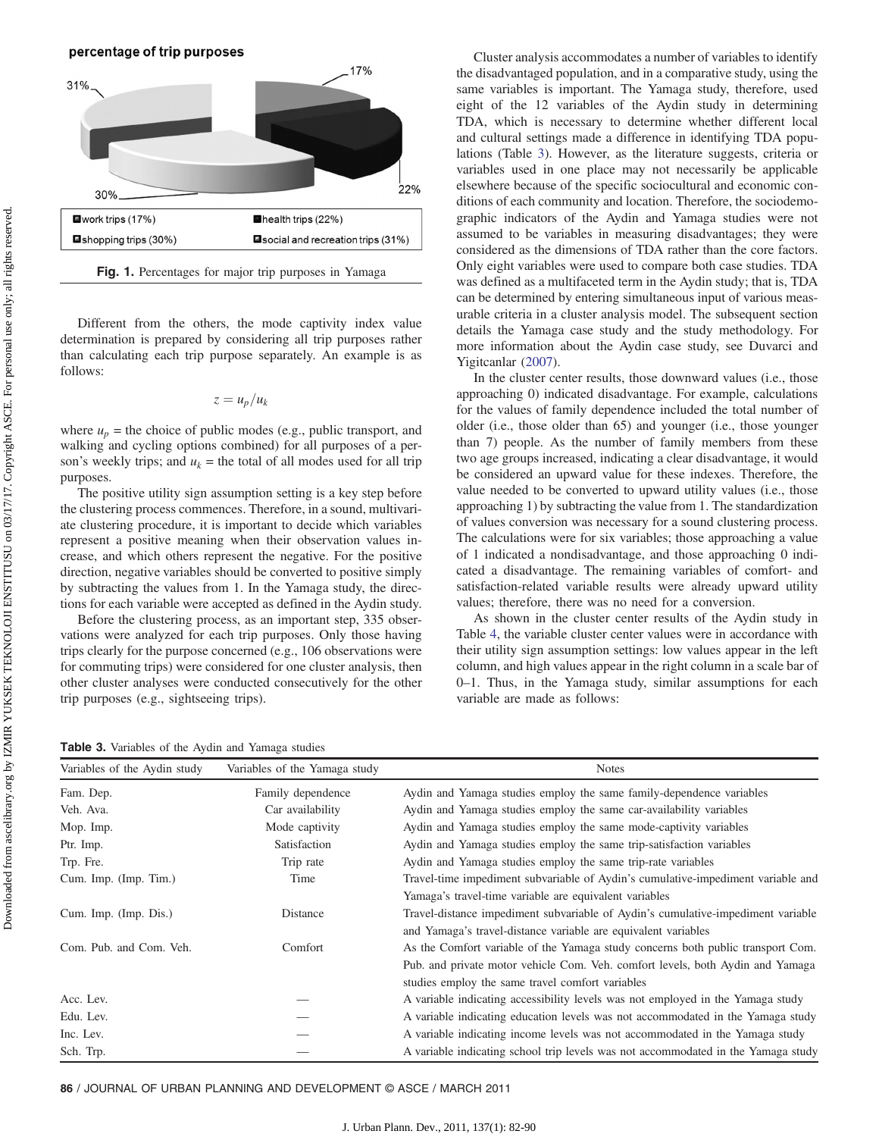### <span id="page-4-0"></span>percentage of trip purposes



Fig. 1. Percentages for major trip purposes in Yamaga

Different from the others, the mode captivity index value determination is prepared by considering all trip purposes rather than calculating each trip purpose separately. An example is as follows:

$$
z=u_p/u_k
$$

where  $u_p$  = the choice of public modes (e.g., public transport, and walking and cycling options combined) for all purposes of a person's weekly trips; and  $u_k$  = the total of all modes used for all trip purposes.

The positive utility sign assumption setting is a key step before the clustering process commences. Therefore, in a sound, multivariate clustering procedure, it is important to decide which variables represent a positive meaning when their observation values increase, and which others represent the negative. For the positive direction, negative variables should be converted to positive simply by subtracting the values from 1. In the Yamaga study, the directions for each variable were accepted as defined in the Aydin study.

Before the clustering process, as an important step, 335 observations were analyzed for each trip purposes. Only those having trips clearly for the purpose concerned (e.g., 106 observations were for commuting trips) were considered for one cluster analysis, then other cluster analyses were conducted consecutively for the other trip purposes (e.g., sightseeing trips).

Cluster analysis accommodates a number of variables to identify the disadvantaged population, and in a comparative study, using the same variables is important. The Yamaga study, therefore, used eight of the 12 variables of the Aydin study in determining TDA, which is necessary to determine whether different local and cultural settings made a difference in identifying TDA populations (Table [3](#page-4-1)). However, as the literature suggests, criteria or variables used in one place may not necessarily be applicable elsewhere because of the specific sociocultural and economic conditions of each community and location. Therefore, the sociodemographic indicators of the Aydin and Yamaga studies were not assumed to be variables in measuring disadvantages; they were considered as the dimensions of TDA rather than the core factors. Only eight variables were used to compare both case studies. TDA was defined as a multifaceted term in the Aydin study; that is, TDA can be determined by entering simultaneous input of various measurable criteria in a cluster analysis model. The subsequent section details the Yamaga case study and the study methodology. For more information about the Aydin case study, see Duvarci and Yigitcanlar [\(2007](#page-8-0)).

In the cluster center results, those downward values (i.e., those approaching 0) indicated disadvantage. For example, calculations for the values of family dependence included the total number of older (i.e., those older than 65) and younger (i.e., those younger than 7) people. As the number of family members from these two age groups increased, indicating a clear disadvantage, it would be considered an upward value for these indexes. Therefore, the value needed to be converted to upward utility values (i.e., those approaching 1) by subtracting the value from 1. The standardization of values conversion was necessary for a sound clustering process. The calculations were for six variables; those approaching a value of 1 indicated a nondisadvantage, and those approaching 0 indicated a disadvantage. The remaining variables of comfort- and satisfaction-related variable results were already upward utility values; therefore, there was no need for a conversion.

As shown in the cluster center results of the Aydin study in Table [4](#page-5-0), the variable cluster center values were in accordance with their utility sign assumption settings: low values appear in the left column, and high values appear in the right column in a scale bar of 0–1. Thus, in the Yamaga study, similar assumptions for each variable are made as follows:

<span id="page-4-1"></span>Table 3. Variables of the Aydin and Yamaga studies

| Variables of the Aydin study | Variables of the Yamaga study | <b>Notes</b>                                                                      |
|------------------------------|-------------------------------|-----------------------------------------------------------------------------------|
| Fam. Dep.                    | Family dependence             | Aydin and Yamaga studies employ the same family-dependence variables              |
| Veh. Ava.                    | Car availability              | Aydin and Yamaga studies employ the same car-availability variables               |
| Mop. Imp.                    | Mode captivity                | Aydin and Yamaga studies employ the same mode-captivity variables                 |
| Ptr. Imp.                    | Satisfaction                  | Aydin and Yamaga studies employ the same trip-satisfaction variables              |
| Trp. Fre.                    | Trip rate                     | Aydin and Yamaga studies employ the same trip-rate variables                      |
| Cum. Imp. $(Imp. Tim.)$      | Time                          | Travel-time impediment subvariable of Aydin's cumulative-impediment variable and  |
|                              |                               | Yamaga's travel-time variable are equivalent variables                            |
| Cum. Imp. (Imp. Dis.)        | Distance                      | Travel-distance impediment subvariable of Aydin's cumulative-impediment variable  |
|                              |                               | and Yamaga's travel-distance variable are equivalent variables                    |
| Com. Pub. and Com. Veh.      | Comfort                       | As the Comfort variable of the Yamaga study concerns both public transport Com.   |
|                              |                               | Pub. and private motor vehicle Com. Veh. comfort levels, both Aydin and Yamaga    |
|                              |                               | studies employ the same travel comfort variables                                  |
| Acc. Lev.                    |                               | A variable indicating accessibility levels was not employed in the Yamaga study   |
| Edu. Lev.                    |                               | A variable indicating education levels was not accommodated in the Yamaga study   |
| Inc. Lev.                    |                               | A variable indicating income levels was not accommodated in the Yamaga study      |
| Sch. Trp.                    |                               | A variable indicating school trip levels was not accommodated in the Yamaga study |

86 / JOURNAL OF URBAN PLANNING AND DEVELOPMENT © ASCE / MARCH 2011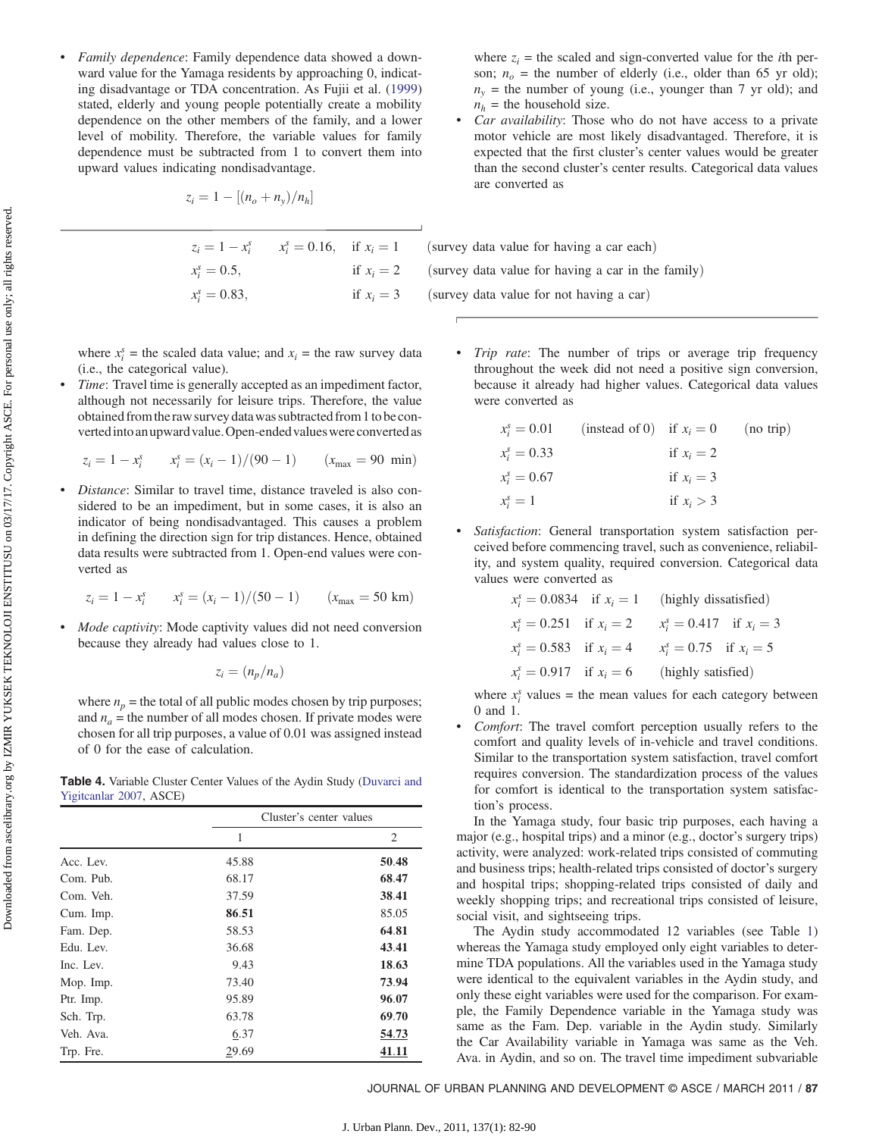Family dependence: Family dependence data showed a downward value for the Yamaga residents by approaching 0, indicating disadvantage or TDA concentration. As Fujii et al. ([1999\)](#page-8-21) stated, elderly and young people potentially create a mobility dependence on the other members of the family, and a lower level of mobility. Therefore, the variable values for family dependence must be subtracted from 1 to convert them into upward values indicating nondisadvantage.

$$
z_i = 1 - [(n_o + n_y)/n_h]
$$

| $z_i = 1 - x_i^s$ | $x_i^s = 0.16$ , if $x_i = 1$ |              |
|-------------------|-------------------------------|--------------|
| $x_i^s = 0.5$ ,   |                               | if $x_i = 2$ |
| $x_i^s = 0.83,$   |                               | if $x_i = 3$ |

where  $x_i^s$  = the scaled data value; and  $x_i$  = the raw survey data (i.e., the categorical value).

Time: Travel time is generally accepted as an impediment factor, although not necessarily for leisure trips. Therefore, the value obtained from the raw survey data was subtracted from 1 to be convertedintoan upward value.Open-ended valueswereconvertedas

$$
z_i = 1 - x_i^s \qquad x_i^s = (x_i - 1)/(90 - 1) \qquad (x_{\text{max}} = 90 \text{ min})
$$

• Distance: Similar to travel time, distance traveled is also considered to be an impediment, but in some cases, it is also an indicator of being nondisadvantaged. This causes a problem in defining the direction sign for trip distances. Hence, obtained data results were subtracted from 1. Open-end values were converted as

$$
z_i = 1 - x_i^s \qquad x_i^s = (x_i - 1)/(50 - 1) \qquad (x_{\text{max}} = 50 \text{ km})
$$

Mode captivity: Mode captivity values did not need conversion because they already had values close to 1.

$$
z_i = (n_p/n_a)
$$

where  $n_p$  = the total of all public modes chosen by trip purposes; and  $n_a$  = the number of all modes chosen. If private modes were chosen for all trip purposes, a value of 0.01 was assigned instead of 0 for the ease of calculation.

<span id="page-5-0"></span>Table 4. Variable Cluster Center Values of the Aydin Study ([Duvarci and](#page-8-0) [Yigitcanlar 2007](#page-8-0), ASCE)

|           | Cluster's center values |       |
|-----------|-------------------------|-------|
|           | 1                       | 2     |
| Acc. Lev. | 45.88                   | 50.48 |
| Com. Pub. | 68.17                   | 68.47 |
| Com. Veh. | 37.59                   | 38.41 |
| Cum. Imp. | 86.51                   | 85.05 |
| Fam. Dep. | 58.53                   | 64.81 |
| Edu. Lev. | 36.68                   | 43.41 |
| Inc. Lev. | 9.43                    | 18.63 |
| Mop. Imp. | 73.40                   | 73.94 |
| Ptr. Imp. | 95.89                   | 96.07 |
| Sch. Trp. | 63.78                   | 69.70 |
| Veh. Ava. | 6.37                    | 54.73 |
| Trp. Fre. | 29.69                   | 41.11 |

where  $z_i$  = the scaled and sign-converted value for the *i*th person;  $n<sub>o</sub>$  = the number of elderly (i.e., older than 65 yr old);  $n<sub>y</sub>$  = the number of young (i.e., younger than 7 yr old); and  $n_h$  = the household size.

Car availability: Those who do not have access to a private motor vehicle are most likely disadvantaged. Therefore, it is expected that the first cluster's center values would be greater than the second cluster's center results. Categorical data values are converted as

 $(survey data value for having a car each)$  $(survey data value for having a car in the family)$  $(survey data value for not having a car)$ 

> • Trip rate: The number of trips or average trip frequency throughout the week did not need a positive sign conversion, because it already had higher values. Categorical data values were converted as

| $x_i^s = 0.01$ | (instead of 0) | if $x_i = 0$ | (no trip) |
|----------------|----------------|--------------|-----------|
| $x_i^s = 0.33$ | if $x_i = 2$   |              |           |
| $x_i^s = 0.67$ | if $x_i = 3$   |              |           |
| $x_i^s = 1$    | if $x_i > 3$   |              |           |

Satisfaction: General transportation system satisfaction perceived before commencing travel, such as convenience, reliability, and system quality, required conversion. Categorical data values were converted as

$$
x_i^s = 0.0834 \quad \text{if } x_i = 1 \quad \text{(highly dissatisfied)}
$$
\n
$$
x_i^s = 0.251 \quad \text{if } x_i = 2 \quad x_i^s = 0.417 \quad \text{if } x_i = 3
$$
\n
$$
x_i^s = 0.583 \quad \text{if } x_i = 4 \quad x_i^s = 0.75 \quad \text{if } x_i = 5
$$
\n
$$
x_i^s = 0.917 \quad \text{if } x_i = 6 \quad \text{(highly satisfied)}
$$

where  $x_i^s$  values = the mean values for each category between 0 and 1.

Comfort: The travel comfort perception usually refers to the comfort and quality levels of in-vehicle and travel conditions. Similar to the transportation system satisfaction, travel comfort requires conversion. The standardization process of the values for comfort is identical to the transportation system satisfaction's process.

In the Yamaga study, four basic trip purposes, each having a major (e.g., hospital trips) and a minor (e.g., doctor's surgery trips) activity, were analyzed: work-related trips consisted of commuting and business trips; health-related trips consisted of doctor's surgery and hospital trips; shopping-related trips consisted of daily and weekly shopping trips; and recreational trips consisted of leisure, social visit, and sightseeing trips.

The Aydin study accommodated 12 variables (see Table [1\)](#page-2-0) whereas the Yamaga study employed only eight variables to determine TDA populations. All the variables used in the Yamaga study were identical to the equivalent variables in the Aydin study, and only these eight variables were used for the comparison. For example, the Family Dependence variable in the Yamaga study was same as the Fam. Dep. variable in the Aydin study. Similarly the Car Availability variable in Yamaga was same as the Veh. Ava. in Aydin, and so on. The travel time impediment subvariable

JOURNAL OF URBAN PLANNING AND DEVELOPMENT © ASCE / MARCH 2011 / 87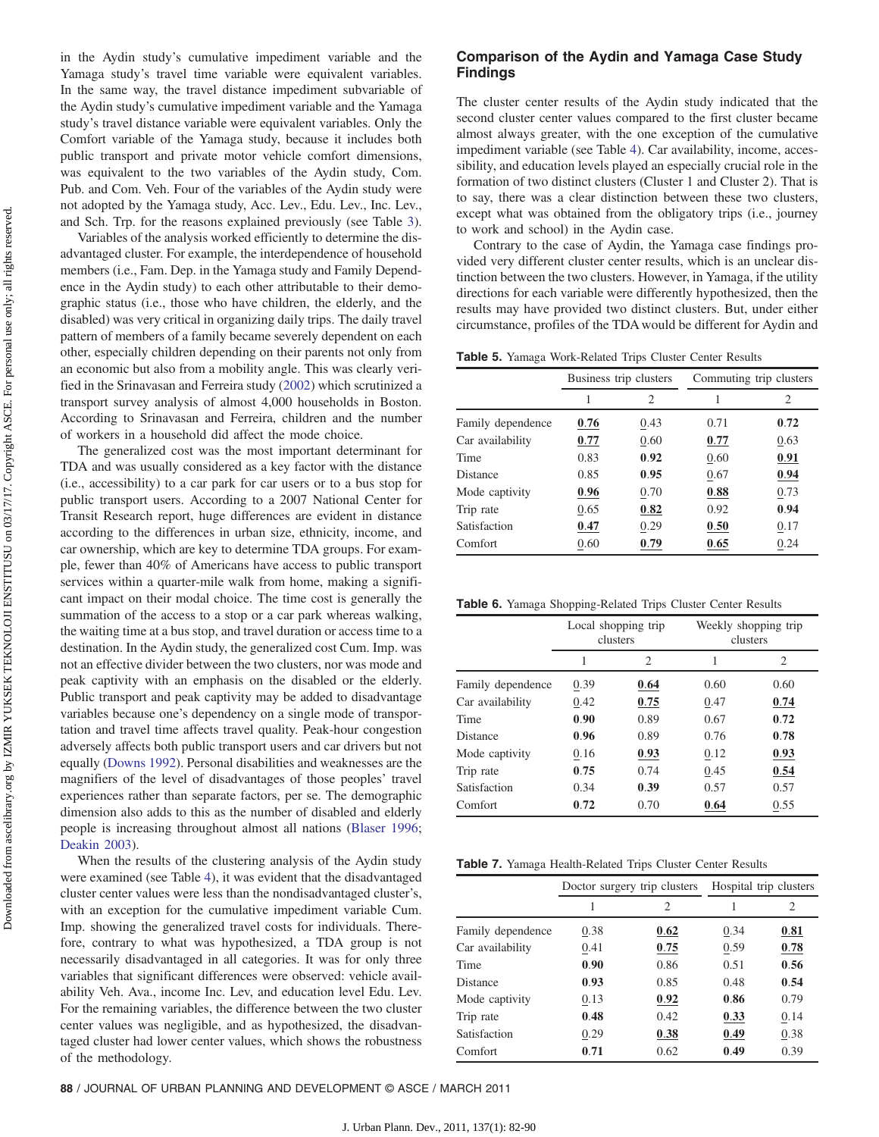in the Aydin study's cumulative impediment variable and the Yamaga study's travel time variable were equivalent variables. In the same way, the travel distance impediment subvariable of the Aydin study's cumulative impediment variable and the Yamaga study's travel distance variable were equivalent variables. Only the Comfort variable of the Yamaga study, because it includes both public transport and private motor vehicle comfort dimensions, was equivalent to the two variables of the Aydin study, Com. Pub. and Com. Veh. Four of the variables of the Aydin study were not adopted by the Yamaga study, Acc. Lev., Edu. Lev., Inc. Lev., and Sch. Trp. for the reasons explained previously (see Table [3\)](#page-4-1).

Variables of the analysis worked efficiently to determine the disadvantaged cluster. For example, the interdependence of household members (i.e., Fam. Dep. in the Yamaga study and Family Dependence in the Aydin study) to each other attributable to their demographic status (i.e., those who have children, the elderly, and the disabled) was very critical in organizing daily trips. The daily travel pattern of members of a family became severely dependent on each other, especially children depending on their parents not only from an economic but also from a mobility angle. This was clearly verified in the Srinavasan and Ferreira study [\(2002](#page-8-22)) which scrutinized a transport survey analysis of almost 4,000 households in Boston. According to Srinavasan and Ferreira, children and the number of workers in a household did affect the mode choice.

The generalized cost was the most important determinant for TDA and was usually considered as a key factor with the distance (i.e., accessibility) to a car park for car users or to a bus stop for public transport users. According to a 2007 National Center for Transit Research report, huge differences are evident in distance according to the differences in urban size, ethnicity, income, and car ownership, which are key to determine TDA groups. For example, fewer than 40% of Americans have access to public transport services within a quarter-mile walk from home, making a significant impact on their modal choice. The time cost is generally the summation of the access to a stop or a car park whereas walking, the waiting time at a bus stop, and travel duration or access time to a destination. In the Aydin study, the generalized cost Cum. Imp. was not an effective divider between the two clusters, nor was mode and peak captivity with an emphasis on the disabled or the elderly. Public transport and peak captivity may be added to disadvantage variables because one's dependency on a single mode of transportation and travel time affects travel quality. Peak-hour congestion adversely affects both public transport users and car drivers but not equally ([Downs 1992\)](#page-8-23). Personal disabilities and weaknesses are the magnifiers of the level of disadvantages of those peoples' travel experiences rather than separate factors, per se. The demographic dimension also adds to this as the number of disabled and elderly people is increasing throughout almost all nations ([Blaser 1996](#page-8-24); [Deakin 2003\)](#page-8-25).

When the results of the clustering analysis of the Aydin study were examined (see Table [4](#page-5-0)), it was evident that the disadvantaged cluster center values were less than the nondisadvantaged cluster's, with an exception for the cumulative impediment variable Cum. Imp. showing the generalized travel costs for individuals. Therefore, contrary to what was hypothesized, a TDA group is not necessarily disadvantaged in all categories. It was for only three variables that significant differences were observed: vehicle availability Veh. Ava., income Inc. Lev, and education level Edu. Lev. For the remaining variables, the difference between the two cluster center values was negligible, and as hypothesized, the disadvantaged cluster had lower center values, which shows the robustness of the methodology.

# Comparison of the Aydin and Yamaga Case Study Findings

The cluster center results of the Aydin study indicated that the second cluster center values compared to the first cluster became almost always greater, with the one exception of the cumulative impediment variable (see Table [4\)](#page-5-0). Car availability, income, accessibility, and education levels played an especially crucial role in the formation of two distinct clusters (Cluster 1 and Cluster 2). That is to say, there was a clear distinction between these two clusters, except what was obtained from the obligatory trips (i.e., journey to work and school) in the Aydin case.

Contrary to the case of Aydin, the Yamaga case findings provided very different cluster center results, which is an unclear distinction between the two clusters. However, in Yamaga, if the utility directions for each variable were differently hypothesized, then the results may have provided two distinct clusters. But, under either circumstance, profiles of the TDA would be different for Aydin and

<span id="page-6-0"></span>Table 5. Yamaga Work-Related Trips Cluster Center Results

|                   | Business trip clusters |      |      | Commuting trip clusters |
|-------------------|------------------------|------|------|-------------------------|
|                   |                        | 2    |      | 2                       |
| Family dependence | 0.76                   | 0.43 | 0.71 | 0.72                    |
| Car availability  | 0.77                   | 0.60 | 0.77 | 0.63                    |
| Time              | 0.83                   | 0.92 | 0.60 | 0.91                    |
| Distance          | 0.85                   | 0.95 | 0.67 | 0.94                    |
| Mode captivity    | 0.96                   | 0.70 | 0.88 | 0.73                    |
| Trip rate         | 0.65                   | 0.82 | 0.92 | 0.94                    |
| Satisfaction      | 0.47                   | 0.29 | 0.50 | 0.17                    |
| Comfort           | 0.60                   | 0.79 | 0.65 | 0.24                    |

Table 6. Yamaga Shopping-Related Trips Cluster Center Results

|                   | Local shopping trip<br>clusters |      | Weekly shopping trip<br>clusters |      |  |
|-------------------|---------------------------------|------|----------------------------------|------|--|
|                   | 1                               | 2    |                                  | 2    |  |
| Family dependence | 0.39                            | 0.64 | 0.60                             | 0.60 |  |
| Car availability  | 0.42                            | 0.75 | 0.47                             | 0.74 |  |
| Time              | 0.90                            | 0.89 | 0.67                             | 0.72 |  |
| Distance          | 0.96                            | 0.89 | 0.76                             | 0.78 |  |
| Mode captivity    | 0.16                            | 0.93 | 0.12                             | 0.93 |  |
| Trip rate         | 0.75                            | 0.74 | 0.45                             | 0.54 |  |
| Satisfaction      | 0.34                            | 0.39 | 0.57                             | 0.57 |  |
| Comfort           | 0.72                            | 0.70 | 0.64                             | 0.55 |  |

Table 7. Yamaga Health-Related Trips Cluster Center Results

|                   |      | Doctor surgery trip clusters | Hospital trip clusters |      |  |
|-------------------|------|------------------------------|------------------------|------|--|
|                   | 1    | $\mathcal{D}$                |                        | 2    |  |
| Family dependence | 0.38 | 0.62                         | 0.34                   | 0.81 |  |
| Car availability  | 0.41 | 0.75                         | 0.59                   | 0.78 |  |
| Time              | 0.90 | 0.86                         | 0.51                   | 0.56 |  |
| Distance          | 0.93 | 0.85                         | 0.48                   | 0.54 |  |
| Mode captivity    | 0.13 | 0.92                         | 0.86                   | 0.79 |  |
| Trip rate         | 0.48 | 0.42                         | 0.33                   | 0.14 |  |
| Satisfaction      | 0.29 | 0.38                         | 0.49                   | 0.38 |  |
| Comfort           | 0.71 | 0.62                         | 0.49                   | 0.39 |  |

88 / JOURNAL OF URBAN PLANNING AND DEVELOPMENT © ASCE / MARCH 2011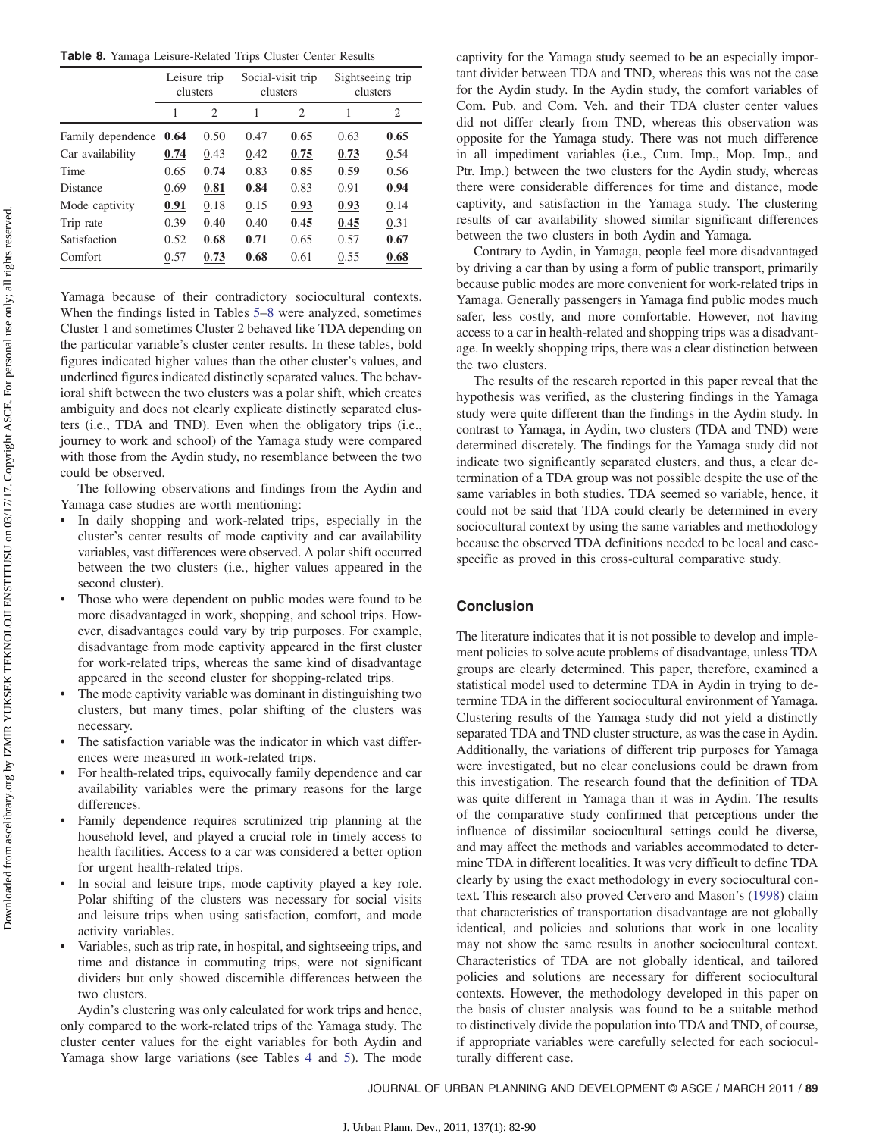<span id="page-7-0"></span>Table 8. Yamaga Leisure-Related Trips Cluster Center Results

|                   | Leisure trip<br>clusters |      |      | Social-visit trip<br>clusters | Sightseeing trip<br>clusters |      |  |
|-------------------|--------------------------|------|------|-------------------------------|------------------------------|------|--|
|                   | 1                        | 2    | 1    | $\overline{c}$                | 1                            | 2    |  |
| Family dependence | 0.64                     | 0.50 | 0.47 | 0.65                          | 0.63                         | 0.65 |  |
| Car availability  | 0.74                     | 0.43 | 0.42 | 0.75                          | 0.73                         | 0.54 |  |
| Time              | 0.65                     | 0.74 | 0.83 | 0.85                          | 0.59                         | 0.56 |  |
| <b>Distance</b>   | 0.69                     | 0.81 | 0.84 | 0.83                          | 0.91                         | 0.94 |  |
| Mode captivity    | 0.91                     | 0.18 | 0.15 | 0.93                          | 0.93                         | 0.14 |  |
| Trip rate         | 0.39                     | 0.40 | 0.40 | 0.45                          | 0.45                         | 0.31 |  |
| Satisfaction      | 0.52                     | 0.68 | 0.71 | 0.65                          | 0.57                         | 0.67 |  |
| Comfort           | 0.57                     | 0.73 | 0.68 | 0.61                          | 0.55                         | 0.68 |  |

Yamaga because of their contradictory sociocultural contexts. When the findings listed in Tables [5](#page-6-0)–[8](#page-7-0) were analyzed, sometimes Cluster 1 and sometimes Cluster 2 behaved like TDA depending on the particular variable's cluster center results. In these tables, bold figures indicated higher values than the other cluster's values, and underlined figures indicated distinctly separated values. The behavioral shift between the two clusters was a polar shift, which creates ambiguity and does not clearly explicate distinctly separated clusters (i.e., TDA and TND). Even when the obligatory trips (i.e., journey to work and school) of the Yamaga study were compared with those from the Aydin study, no resemblance between the two could be observed.

The following observations and findings from the Aydin and Yamaga case studies are worth mentioning:

- In daily shopping and work-related trips, especially in the cluster's center results of mode captivity and car availability variables, vast differences were observed. A polar shift occurred between the two clusters (i.e., higher values appeared in the second cluster).
- Those who were dependent on public modes were found to be more disadvantaged in work, shopping, and school trips. However, disadvantages could vary by trip purposes. For example, disadvantage from mode captivity appeared in the first cluster for work-related trips, whereas the same kind of disadvantage appeared in the second cluster for shopping-related trips.
- The mode captivity variable was dominant in distinguishing two clusters, but many times, polar shifting of the clusters was necessary.
- The satisfaction variable was the indicator in which vast differences were measured in work-related trips.
- For health-related trips, equivocally family dependence and car availability variables were the primary reasons for the large differences.
- Family dependence requires scrutinized trip planning at the household level, and played a crucial role in timely access to health facilities. Access to a car was considered a better option for urgent health-related trips.
- In social and leisure trips, mode captivity played a key role. Polar shifting of the clusters was necessary for social visits and leisure trips when using satisfaction, comfort, and mode activity variables.
- Variables, such as trip rate, in hospital, and sightseeing trips, and time and distance in commuting trips, were not significant dividers but only showed discernible differences between the two clusters.

Aydin's clustering was only calculated for work trips and hence, only compared to the work-related trips of the Yamaga study. The cluster center values for the eight variables for both Aydin and Yamaga show large variations (see Tables [4](#page-5-0) and [5](#page-6-0)). The mode captivity for the Yamaga study seemed to be an especially important divider between TDA and TND, whereas this was not the case for the Aydin study. In the Aydin study, the comfort variables of Com. Pub. and Com. Veh. and their TDA cluster center values did not differ clearly from TND, whereas this observation was opposite for the Yamaga study. There was not much difference in all impediment variables (i.e., Cum. Imp., Mop. Imp., and Ptr. Imp.) between the two clusters for the Aydin study, whereas there were considerable differences for time and distance, mode captivity, and satisfaction in the Yamaga study. The clustering results of car availability showed similar significant differences between the two clusters in both Aydin and Yamaga.

Contrary to Aydin, in Yamaga, people feel more disadvantaged by driving a car than by using a form of public transport, primarily because public modes are more convenient for work-related trips in Yamaga. Generally passengers in Yamaga find public modes much safer, less costly, and more comfortable. However, not having access to a car in health-related and shopping trips was a disadvantage. In weekly shopping trips, there was a clear distinction between the two clusters.

The results of the research reported in this paper reveal that the hypothesis was verified, as the clustering findings in the Yamaga study were quite different than the findings in the Aydin study. In contrast to Yamaga, in Aydin, two clusters (TDA and TND) were determined discretely. The findings for the Yamaga study did not indicate two significantly separated clusters, and thus, a clear determination of a TDA group was not possible despite the use of the same variables in both studies. TDA seemed so variable, hence, it could not be said that TDA could clearly be determined in every sociocultural context by using the same variables and methodology because the observed TDA definitions needed to be local and casespecific as proved in this cross-cultural comparative study.

# Conclusion

The literature indicates that it is not possible to develop and implement policies to solve acute problems of disadvantage, unless TDA groups are clearly determined. This paper, therefore, examined a statistical model used to determine TDA in Aydin in trying to determine TDA in the different sociocultural environment of Yamaga. Clustering results of the Yamaga study did not yield a distinctly separated TDA and TND cluster structure, as was the case in Aydin. Additionally, the variations of different trip purposes for Yamaga were investigated, but no clear conclusions could be drawn from this investigation. The research found that the definition of TDA was quite different in Yamaga than it was in Aydin. The results of the comparative study confirmed that perceptions under the influence of dissimilar sociocultural settings could be diverse, and may affect the methods and variables accommodated to determine TDA in different localities. It was very difficult to define TDA clearly by using the exact methodology in every sociocultural context. This research also proved Cervero and Mason's [\(1998](#page-8-16)) claim that characteristics of transportation disadvantage are not globally identical, and policies and solutions that work in one locality may not show the same results in another sociocultural context. Characteristics of TDA are not globally identical, and tailored policies and solutions are necessary for different sociocultural contexts. However, the methodology developed in this paper on the basis of cluster analysis was found to be a suitable method to distinctively divide the population into TDA and TND, of course, if appropriate variables were carefully selected for each socioculturally different case.